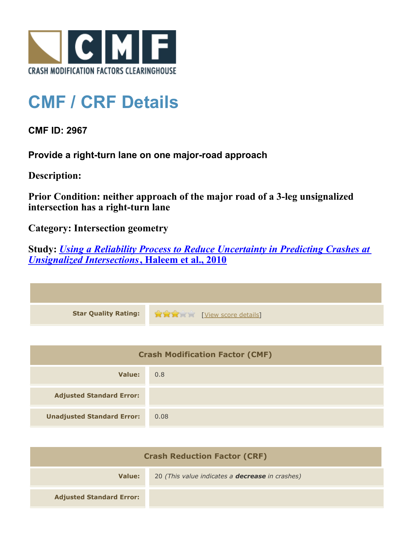

## **CMF / CRF Details**

**CMF ID: 2967**

**Provide a right-turn lane on one major-road approach**

**Description:** 

**Prior Condition: neither approach of the major road of a 3-leg unsignalized intersection has a right-turn lane**

**Category: Intersection geometry**

**Study:** *[Using a Reliability Process to Reduce Uncertainty in Predicting Crashes at](http://www.cmfclearinghouse.org/study_detail.cfm?stid=203) [Unsignalized Intersections](http://www.cmfclearinghouse.org/study_detail.cfm?stid=203)***[, Haleem et al., 2010](http://www.cmfclearinghouse.org/study_detail.cfm?stid=203)**

| Star Quality Rating: 1999 [View score details] |
|------------------------------------------------|

| <b>Crash Modification Factor (CMF)</b> |      |
|----------------------------------------|------|
| Value:                                 | 0.8  |
| <b>Adjusted Standard Error:</b>        |      |
| <b>Unadjusted Standard Error:</b>      | 0.08 |

| <b>Crash Reduction Factor (CRF)</b> |                                                        |
|-------------------------------------|--------------------------------------------------------|
| Value:                              | 20 (This value indicates a <b>decrease</b> in crashes) |
| <b>Adjusted Standard Error:</b>     |                                                        |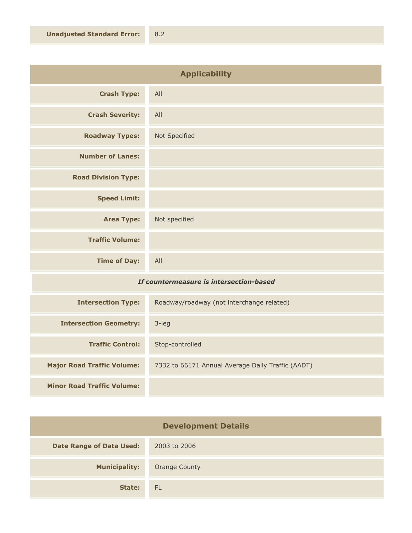| <b>Applicability</b>       |               |
|----------------------------|---------------|
| <b>Crash Type:</b>         | All           |
| <b>Crash Severity:</b>     | All           |
| <b>Roadway Types:</b>      | Not Specified |
| <b>Number of Lanes:</b>    |               |
| <b>Road Division Type:</b> |               |
| <b>Speed Limit:</b>        |               |
| <b>Area Type:</b>          | Not specified |
| <b>Traffic Volume:</b>     |               |
| <b>Time of Day:</b>        | All           |

## *If countermeasure is intersection-based*

| <b>Intersection Type:</b>         | Roadway/roadway (not interchange related)         |
|-----------------------------------|---------------------------------------------------|
| <b>Intersection Geometry:</b>     | $3$ -leg                                          |
| <b>Traffic Control:</b>           | Stop-controlled                                   |
| <b>Major Road Traffic Volume:</b> | 7332 to 66171 Annual Average Daily Traffic (AADT) |
| <b>Minor Road Traffic Volume:</b> |                                                   |

| <b>Development Details</b>      |                      |
|---------------------------------|----------------------|
| <b>Date Range of Data Used:</b> | 2003 to 2006         |
| <b>Municipality:</b>            | <b>Orange County</b> |
| State:                          | <b>FL</b>            |